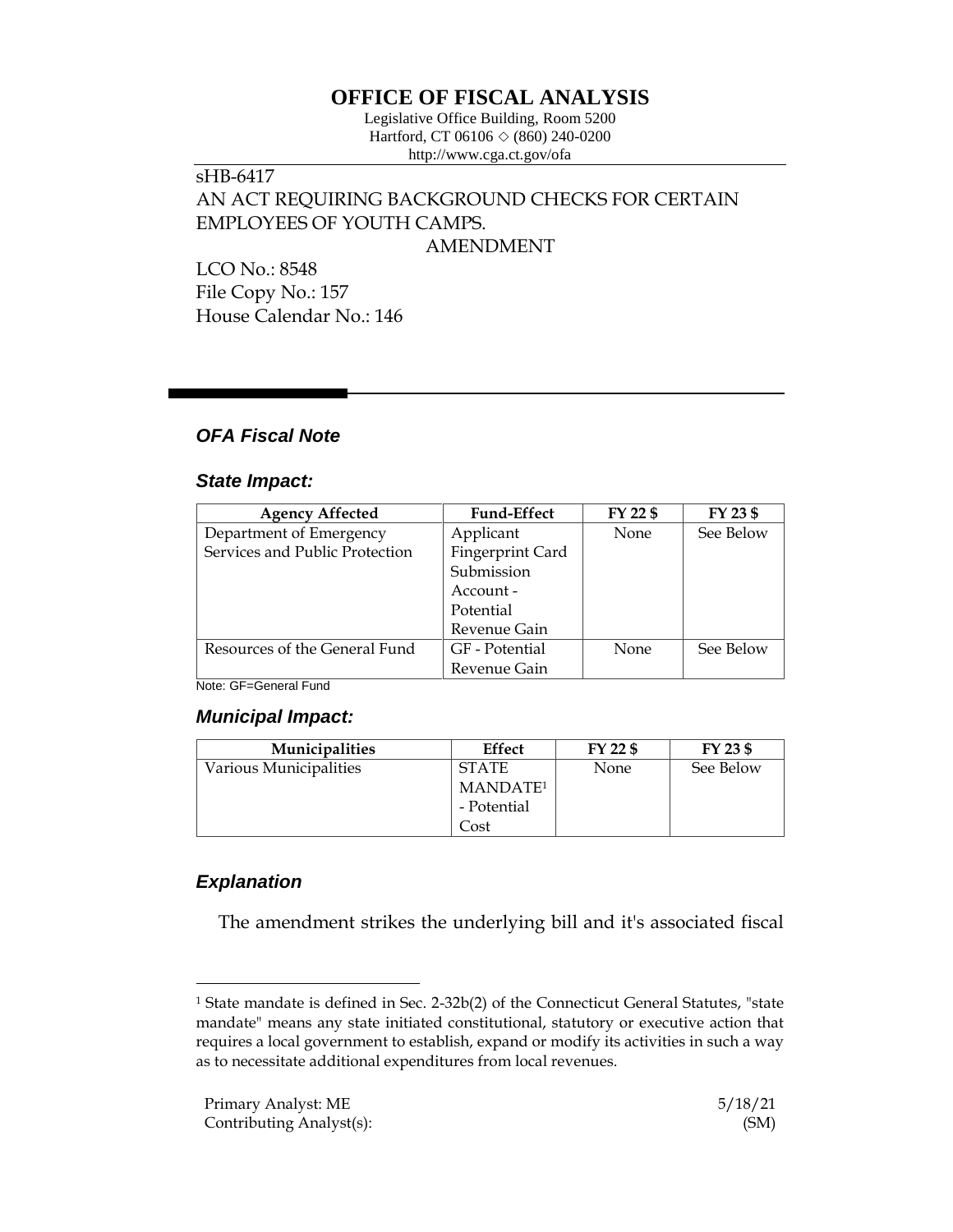# **OFFICE OF FISCAL ANALYSIS**

Legislative Office Building, Room 5200 Hartford, CT 06106  $\Diamond$  (860) 240-0200 http://www.cga.ct.gov/ofa

# sHB-6417 AN ACT REQUIRING BACKGROUND CHECKS FOR CERTAIN EMPLOYEES OF YOUTH CAMPS.

AMENDMENT

LCO No.: 8548 File Copy No.: 157 House Calendar No.: 146

## *OFA Fiscal Note*

### *State Impact:*

| <b>Agency Affected</b>         | <b>Fund-Effect</b> | FY 22 \$    | FY 23 \$  |
|--------------------------------|--------------------|-------------|-----------|
| Department of Emergency        | Applicant          | None        | See Below |
| Services and Public Protection | Fingerprint Card   |             |           |
|                                | Submission         |             |           |
|                                | Account -          |             |           |
|                                | Potential          |             |           |
|                                | Revenue Gain       |             |           |
| Resources of the General Fund  | GF - Potential     | <b>None</b> | See Below |
|                                | Revenue Gain       |             |           |

Note: GF=General Fund

#### *Municipal Impact:*

| <b>Municipalities</b>  | Effect               | FY 22 \$    | FY 23 \$  |
|------------------------|----------------------|-------------|-----------|
| Various Municipalities | <b>STATE</b>         | <b>None</b> | See Below |
|                        | MANDATE <sup>1</sup> |             |           |
|                        | - Potential          |             |           |
|                        | .<br>ost             |             |           |

## *Explanation*

 $\overline{a}$ 

The amendment strikes the underlying bill and it's associated fiscal

<sup>1</sup> State mandate is defined in Sec. 2-32b(2) of the Connecticut General Statutes, "state mandate" means any state initiated constitutional, statutory or executive action that requires a local government to establish, expand or modify its activities in such a way as to necessitate additional expenditures from local revenues.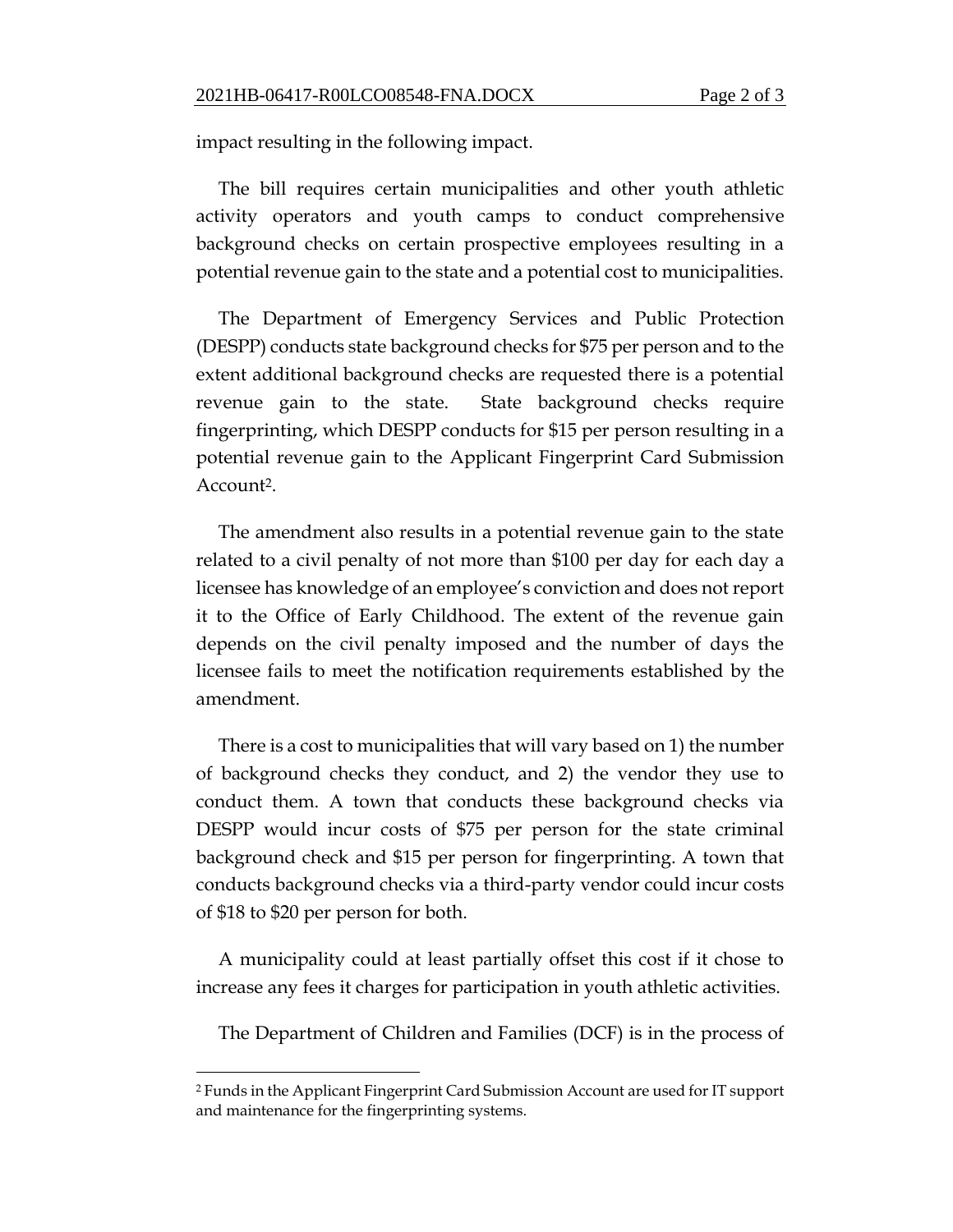impact resulting in the following impact.

The bill requires certain municipalities and other youth athletic activity operators and youth camps to conduct comprehensive background checks on certain prospective employees resulting in a potential revenue gain to the state and a potential cost to municipalities.

The Department of Emergency Services and Public Protection (DESPP) conducts state background checks for \$75 per person and to the extent additional background checks are requested there is a potential revenue gain to the state. State background checks require fingerprinting, which DESPP conducts for \$15 per person resulting in a potential revenue gain to the Applicant Fingerprint Card Submission Account<sup>2</sup>.

The amendment also results in a potential revenue gain to the state related to a civil penalty of not more than \$100 per day for each day a licensee has knowledge of an employee's conviction and does not report it to the Office of Early Childhood. The extent of the revenue gain depends on the civil penalty imposed and the number of days the licensee fails to meet the notification requirements established by the amendment.

There is a cost to municipalities that will vary based on 1) the number of background checks they conduct, and 2) the vendor they use to conduct them. A town that conducts these background checks via DESPP would incur costs of \$75 per person for the state criminal background check and \$15 per person for fingerprinting. A town that conducts background checks via a third-party vendor could incur costs of \$18 to \$20 per person for both.

A municipality could at least partially offset this cost if it chose to increase any fees it charges for participation in youth athletic activities.

The Department of Children and Families (DCF) is in the process of

 $\overline{a}$ 

<sup>2</sup> Funds in the Applicant Fingerprint Card Submission Account are used for IT support and maintenance for the fingerprinting systems.